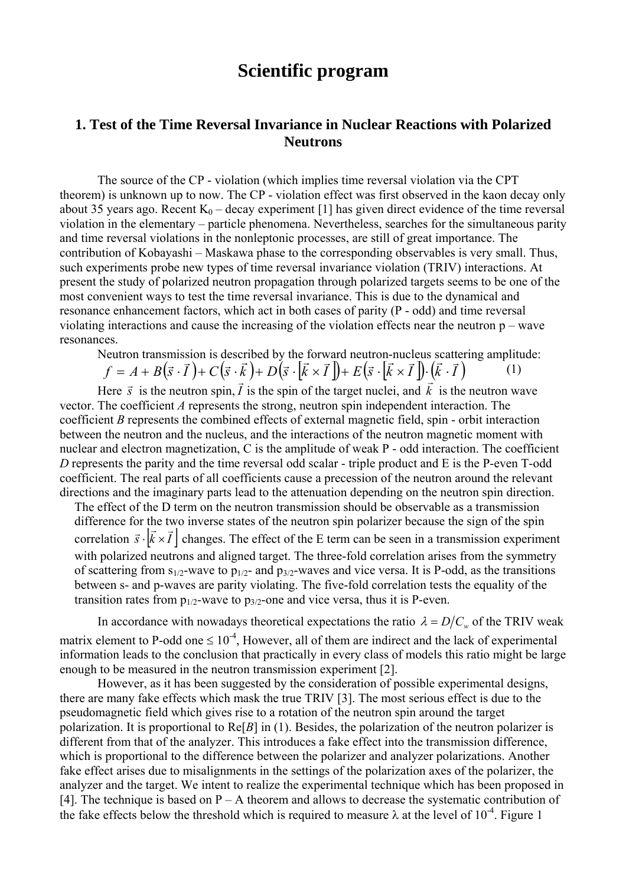# **Scientific program**

# **1. Test of the Time Reversal Invariance in Nuclear Reactions with Polarized Neutrons**

The source of the CP - violation (which implies time reversal violation via the CPT theorem) is unknown up to now. The CP - violation effect was first observed in the kaon decay only about 35 years ago. Recent  $K_0$  – decay experiment [1] has given direct evidence of the time reversal violation in the elementary – particle phenomena. Nevertheless, searches for the simultaneous parity and time reversal violations in the nonleptonic processes, are still of great importance. The contribution of Kobayashi – Maskawa phase to the corresponding observables is very small. Thus, such experiments probe new types of time reversal invariance violation (TRIV) interactions. At present the study of polarized neutron propagation through polarized targets seems to be one of the most convenient ways to test the time reversal invariance. This is due to the dynamical and resonance enhancement factors, which act in both cases of parity (P - odd) and time reversal violating interactions and cause the increasing of the violation effects near the neutron p – wave resonances.

Neutron transmission is described by the forward neutron-nucleus scattering amplitude:<br>  $f = A + B(\vec{s} \cdot \vec{l}) + C(\vec{s} \cdot \vec{k}) + D(\vec{s} \cdot [\vec{k} \times \vec{l}]) + E(\vec{s} \cdot [\vec{k} \times \vec{l}]) \cdot (\vec{k} \cdot \vec{l})$  (1)

$$
f = A + B(\vec{s} \cdot \vec{I}) + C(\vec{s} \cdot \vec{k}) + D(\vec{s} \cdot [\vec{k} \times \vec{I}]) + E(\vec{s} \cdot [\vec{k} \times \vec{I}]) \cdot (\vec{k} \cdot \vec{I}) \tag{1}
$$

Here  $\vec{s}$  is the neutron spin,  $\vec{l}$  is the spin of the target nuclei, and  $\vec{k}$  is the neutron wave vector. The coefficient *A* represents the strong, neutron spin independent interaction. The coefficient *B* represents the combined effects of external magnetic field, spin - orbit interaction between the neutron and the nucleus, and the interactions of the neutron magnetic moment with nuclear and electron magnetization, C is the amplitude of weak P - odd interaction. The coefficient *D* represents the parity and the time reversal odd scalar - triple product and E is the P-even T-odd coefficient. The real parts of all coefficients cause a precession of the neutron around the relevant directions and the imaginary parts lead to the attenuation depending on the neutron spin direction.

The effect of the D term on the neutron transmission should be observable as a transmission difference for the two inverse states of the neutron spin polarizer because the sign of the spin correlation  $\vec{s} \cdot [\vec{k} \times \vec{l}]$  changes. The effect of the E term can be seen in a transmission experiment with polarized neutrons and aligned target. The three-fold correlation arises from the symmetry of scattering from  $s_{1/2}$ -wave to  $p_{1/2}$ - and  $p_{3/2}$ -waves and vice versa. It is P-odd, as the transitions between s- and p-waves are parity violating. The five-fold correlation tests the equality of the transition rates from  $p_{1/2}$ -wave to  $p_{3/2}$ -one and vice versa, thus it is P-even.

In accordance with nowadays theoretical expectations the ratio  $\lambda = D/C_w$  of the TRIV weak matrix element to P-odd one  $\leq 10^{-4}$ , However, all of them are indirect and the lack of experimental information leads to the conclusion that practically in every class of models this ratio might be large enough to be measured in the neutron transmission experiment [2].

However, as it has been suggested by the consideration of possible experimental designs, there are many fake effects which mask the true TRIV [3]. The most serious effect is due to the pseudomagnetic field which gives rise to a rotation of the neutron spin around the target polarization. It is proportional to Re[*B*] in (1). Besides, the polarization of the neutron polarizer is different from that of the analyzer. This introduces a fake effect into the transmission difference, which is proportional to the difference between the polarizer and analyzer polarizations. Another fake effect arises due to misalignments in the settings of the polarization axes of the polarizer, the analyzer and the target. We intent to realize the experimental technique which has been proposed in [4]. The technique is based on  $P - A$  theorem and allows to decrease the systematic contribution of the fake effects below the threshold which is required to measure  $\lambda$  at the level of  $10^{-4}$ . Figure 1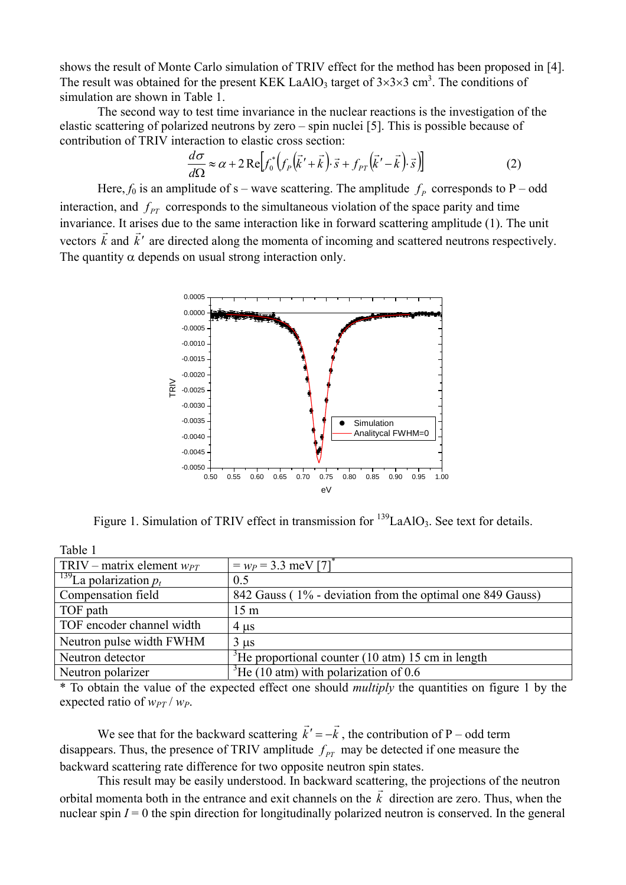shows the result of Monte Carlo simulation of TRIV effect for the method has been proposed in [4]. The result was obtained for the present KEK LaAlO<sub>3</sub> target of  $3\times3\times3$  cm<sup>3</sup>. The conditions of simulation are shown in Table 1.

The second way to test time invariance in the nuclear reactions is the investigation of the elastic scattering of polarized neutrons by zero – spin nuclei [5]. This is possible because of contribution of TRIV interaction to elastic cross section:

$$
\frac{d\sigma}{d\Omega} \approx \alpha + 2 \operatorname{Re} \Big[ f_0^* \Big( f_p \Big( \vec{k}' + \vec{k} \Big) \cdot \vec{s} + f_{PT} \Big( \vec{k}' - \vec{k} \Big) \cdot \vec{s} \Big) \Big]
$$
(2)

Here,  $f_0$  is an amplitude of s – wave scattering. The amplitude  $f_p$  corresponds to P – odd interaction, and  $f_{PT}$  corresponds to the simultaneous violation of the space parity and time invariance. It arises due to the same interaction like in forward scattering amplitude (1). The unit vectors  $\vec{k}$  and  $\vec{k}'$  are directed along the momenta of incoming and scattered neutrons respectively. The quantity  $\alpha$  depends on usual strong interaction only.



Figure 1. Simulation of TRIV effect in transmission for  $^{139}$ LaAlO<sub>3</sub>. See text for details.

| Table 1                              |                                                               |
|--------------------------------------|---------------------------------------------------------------|
| TRIV – matrix element $w_{PT}$       | $= w_P = 3.3$ meV [7] <sup>*</sup>                            |
| <sup>139</sup> La polarization $p_t$ | 0.5                                                           |
| Compensation field                   | 842 Gauss (1% - deviation from the optimal one 849 Gauss)     |
| TOF path                             | 15 <sub>m</sub>                                               |
| TOF encoder channel width            | $4 \mu s$                                                     |
| Neutron pulse width FWHM             | $3 \mu s$                                                     |
| Neutron detector                     | <sup>3</sup> He proportional counter (10 atm) 15 cm in length |
| Neutron polarizer                    | $^3$ He (10 atm) with polarization of 0.6                     |

\* To obtain the value of the expected effect one should *multiply* the quantities on figure 1 by the expected ratio of  $w_{PT}$  /  $w_P$ .

We see that for the backward scattering  $\vec{k}' = -\vec{k}$ , the contribution of P – odd term disappears. Thus, the presence of TRIV amplitude  $f_{PT}$  may be detected if one measure the backward scattering rate difference for two opposite neutron spin states.

This result may be easily understood. In backward scattering, the projections of the neutron orbital momenta both in the entrance and exit channels on the *k*  $\frac{1}{r}$  direction are zero. Thus, when the nuclear spin  $I = 0$  the spin direction for longitudinally polarized neutron is conserved. In the general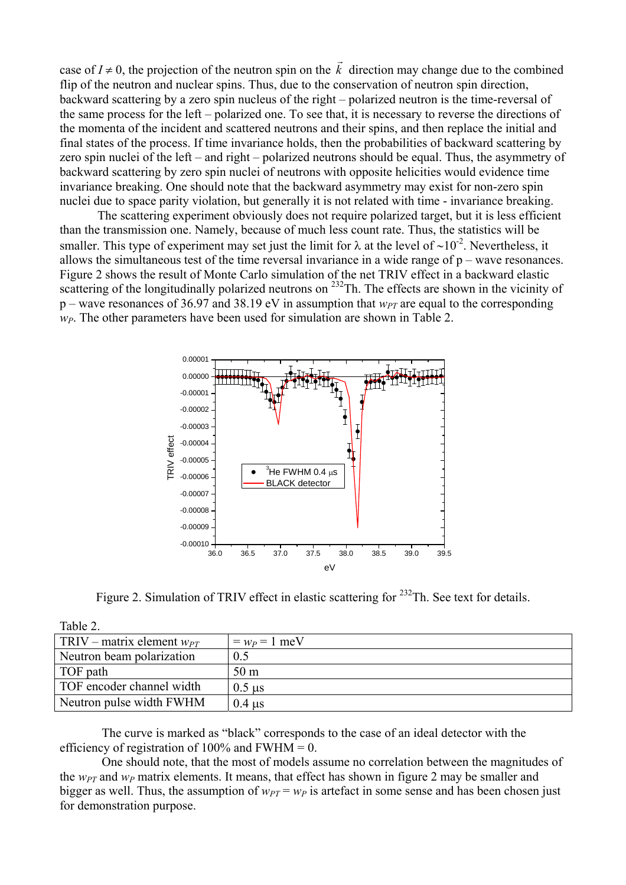case of  $I \neq 0$ , the projection of the neutron spin on the *k*  $\overrightarrow{r}$ direction may change due to the combined flip of the neutron and nuclear spins. Thus, due to the conservation of neutron spin direction, backward scattering by a zero spin nucleus of the right – polarized neutron is the time-reversal of the same process for the left – polarized one. To see that, it is necessary to reverse the directions of the momenta of the incident and scattered neutrons and their spins, and then replace the initial and final states of the process. If time invariance holds, then the probabilities of backward scattering by zero spin nuclei of the left – and right – polarized neutrons should be equal. Thus, the asymmetry of backward scattering by zero spin nuclei of neutrons with opposite helicities would evidence time invariance breaking. One should note that the backward asymmetry may exist for non-zero spin nuclei due to space parity violation, but generally it is not related with time - invariance breaking.

The scattering experiment obviously does not require polarized target, but it is less efficient than the transmission one. Namely, because of much less count rate. Thus, the statistics will be smaller. This type of experiment may set just the limit for  $\lambda$  at the level of ~10<sup>-2</sup>. Nevertheless, it allows the simultaneous test of the time reversal invariance in a wide range of p – wave resonances. Figure 2 shows the result of Monte Carlo simulation of the net TRIV effect in a backward elastic scattering of the longitudinally polarized neutrons on <sup>232</sup>Th. The effects are shown in the vicinity of  $p$  – wave resonances of 36.97 and 38.19 eV in assumption that  $w_{PT}$  are equal to the corresponding *wP*. The other parameters have been used for simulation are shown in Table 2.



Figure 2. Simulation of TRIV effect in elastic scattering for  $^{232}$ Th. See text for details.

| Table 2.                       |                           |
|--------------------------------|---------------------------|
| TRIV – matrix element $w_{PT}$ | $= w_P = 1$ meV           |
| Neutron beam polarization      | 0.5                       |
| TOF path                       | 50 <sub>m</sub>           |
| TOF encoder channel width      | $0.5$ us                  |
| Neutron pulse width FWHM       | $0.4 \text{ }\mu\text{s}$ |

The curve is marked as "black" corresponds to the case of an ideal detector with the efficiency of registration of  $100\%$  and FWHM = 0.

One should note, that the most of models assume no correlation between the magnitudes of the  $w_{PT}$  and  $w_P$  matrix elements. It means, that effect has shown in figure 2 may be smaller and bigger as well. Thus, the assumption of  $w_{PT} = w_P$  is artefact in some sense and has been chosen just for demonstration purpose.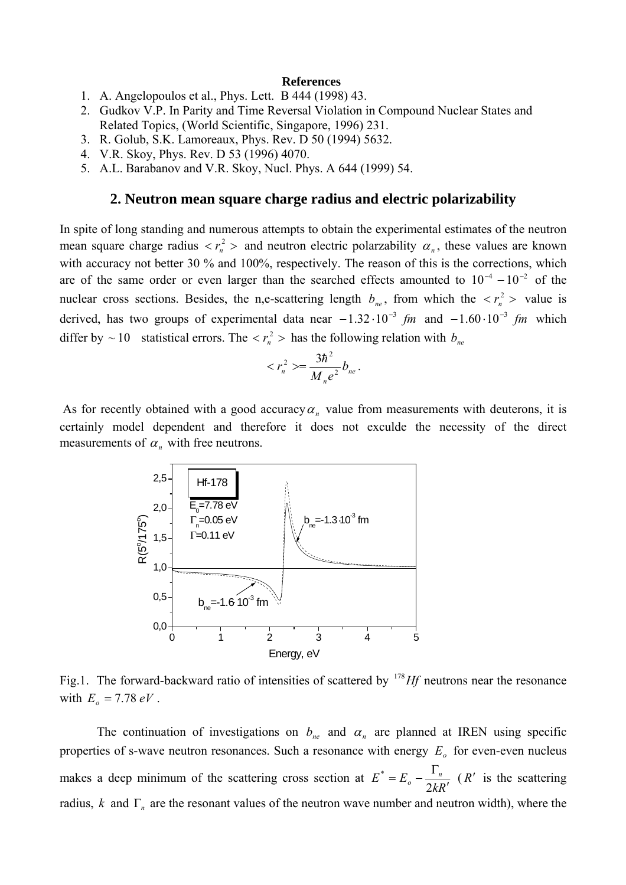#### **References**

- 1. A. Angelopoulos et al., Phys. Lett. B 444 (1998) 43.
- 2. Gudkov V.P. In Parity and Time Reversal Violation in Compound Nuclear States and Related Topics, (World Scientific, Singapore, 1996) 231.
- 3. R. Golub, S.K. Lamoreaux, Phys. Rev. D 50 (1994) 5632.
- 4. V.R. Skoy, Phys. Rev. D 53 (1996) 4070.
- 5. A.L. Barabanov and V.R. Skoy, Nucl. Phys. A 644 (1999) 54.

### **2. Neutron mean square charge radius and electric polarizability**

In spite of long standing and numerous attempts to obtain the experimental estimates of the neutron mean square charge radius  $\langle r_n^2 \rangle$  and neutron electric polarzability  $\alpha_n$ , these values are known with accuracy not better 30 % and 100%, respectively. The reason of this is the corrections, which are of the same order or even larger than the searched effects amounted to  $10^{-4} - 10^{-2}$  of the nuclear cross sections. Besides, the n,e-scattering length  $b_{ne}$ , from which the  $\langle r_n^2 \rangle$  value is derived, has two groups of experimental data near  $-1.32 \cdot 10^{-3}$  *fm* and  $-1.60 \cdot 10^{-3}$  *fm* which differ by  $\sim 10$  statistical errors. The  $\langle r_n^2 \rangle$  has the following relation with  $b_{ne}$ 

$$
\langle r_n^2 \rangle = \frac{3\hbar^2}{M_n e^2} b_{ne}.
$$

As for recently obtained with a good accuracy  $\alpha_n$  value from measurements with deuterons, it is certainly model dependent and therefore it does not exculde the necessity of the direct measurements of  $\alpha_n$  with free neutrons.



Fig.1. The forward-backward ratio of intensities of scattered by  $^{178}Hf$  neutrons near the resonance with  $E_o = 7.78 \, eV$ .

The continuation of investigations on  $b_{ne}$  and  $\alpha_n$  are planned at IREN using specific properties of s-wave neutron resonances. Such a resonance with energy  $E_0$  for even-even nucleus makes a deep minimum of the scattering cross section at *kR*  $E^* = E_o - \frac{\Gamma_n}{2kR'}$  (*R'* is the scattering radius, *k* and  $\Gamma_n$  are the resonant values of the neutron wave number and neutron width), where the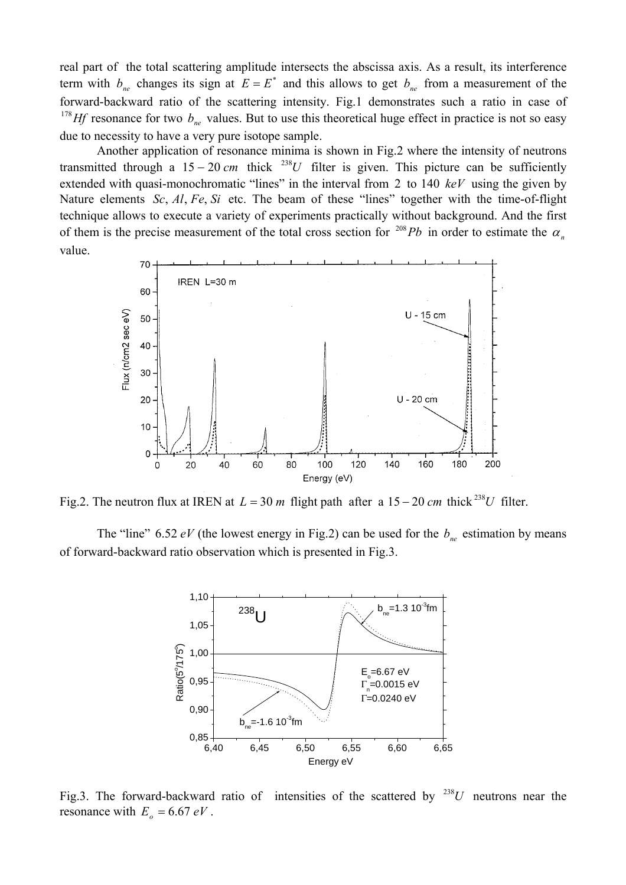real part of the total scattering amplitude intersects the abscissa axis. As a result, its interference term with  $b_{ne}$  changes its sign at  $E = E^*$  and this allows to get  $b_{ne}$  from a measurement of the forward-backward ratio of the scattering intensity. Fig.1 demonstrates such a ratio in case of <sup>178</sup>*Hf* resonance for two  $b_{ne}$  values. But to use this theoretical huge effect in practice is not so easy due to necessity to have a very pure isotope sample.

Another application of resonance minima is shown in Fig.2 where the intensity of neutrons transmitted through a 15 – 20 *cm* thick <sup>238</sup>*U* filter is given. This picture can be sufficiently extended with quasi-monochromatic "lines" in the interval from 2 to 140  $keV$  using the given by Nature elements Sc,  $AI$ ,  $Fe$ ,  $Si$  etc. The beam of these "lines" together with the time-of-flight technique allows to execute a variety of experiments practically without background. And the first of them is the precise measurement of the total cross section for  $\frac{208}{b}Pb$  in order to estimate the  $\alpha_n$ value.



Fig.2. The neutron flux at IREN at  $L = 30$  *m* flight path after a 15 – 20 *cm* thick <sup>238</sup>*U* filter.

The "line" 6.52  $eV$  (the lowest energy in Fig.2) can be used for the  $b_{ne}$  estimation by means of forward-backward ratio observation which is presented in Fig.3.



Fig.3. The forward-backward ratio of intensities of the scattered by  $^{238}U$  neutrons near the resonance with  $E_o = 6.67 eV$ .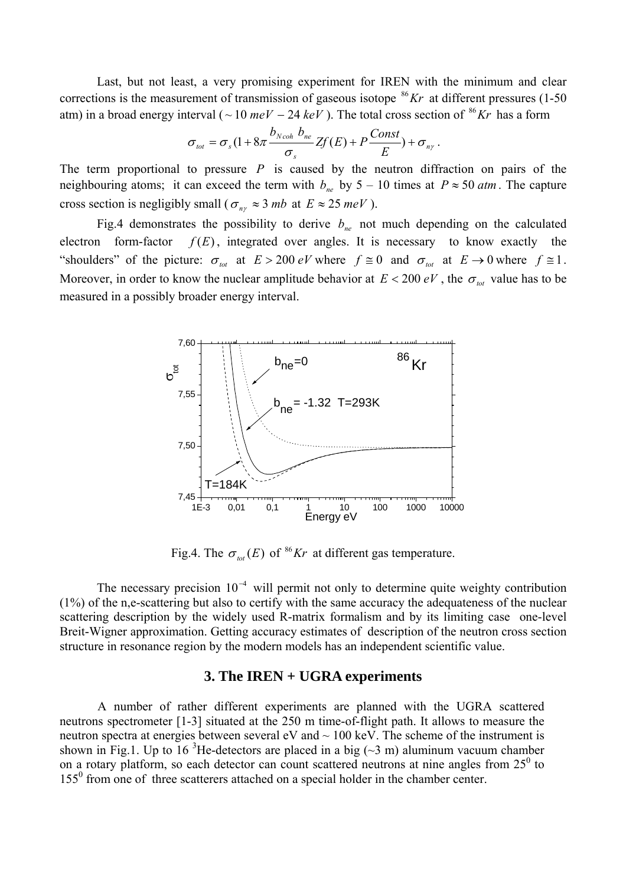Last, but not least, a very promising experiment for IREN with the minimum and clear corrections is the measurement of transmission of gaseous isotope  $^{86}Kr$  at different pressures (1-50) atm) in a broad energy interval ( $\sim 10$  meV – 24 keV). The total cross section of <sup>86</sup>Kr has a form

$$
\sigma_{\text{tot}} = \sigma_s (1 + 8\pi \frac{b_{\text{Ncoh}} b_{\text{ne}}}{\sigma_s} Zf(E) + P \frac{\text{Const}}{E}) + \sigma_{\text{ny}}.
$$

The term proportional to pressure *P* is caused by the neutron diffraction on pairs of the neighbouring atoms; it can exceed the term with  $b_{ne}$  by  $5 - 10$  times at  $P \approx 50$  *atm*. The capture cross section is negligibly small ( $\sigma_{n\gamma} \approx 3 mb$  at  $E \approx 25 meV$ ).

Fig.4 demonstrates the possibility to derive  $b_{ne}$  not much depending on the calculated electron form-factor  $f(E)$ , integrated over angles. It is necessary to know exactly the "shoulders" of the picture:  $\sigma_{tot}$  at  $E > 200$  *eV* where  $f \equiv 0$  and  $\sigma_{tot}$  at  $E \rightarrow 0$  where  $f \equiv 1$ . Moreover, in order to know the nuclear amplitude behavior at  $E < 200 eV$ , the  $\sigma_{tot}$  value has to be measured in a possibly broader energy interval.



Fig.4. The  $\sigma_{tot}(E)$  of <sup>86</sup>Kr at different gas temperature.

The necessary precision  $10^{-4}$  will permit not only to determine quite weighty contribution (1%) of the n,e-scattering but also to certify with the same accuracy the adequateness of the nuclear scattering description by the widely used R-matrix formalism and by its limiting case one-level Breit-Wigner approximation. Getting accuracy estimates of description of the neutron cross section structure in resonance region by the modern models has an independent scientific value.

## **3. The IREN + UGRA experiments**

A number of rather different experiments are planned with the UGRA scattered neutrons spectrometer [1-3] situated at the 250 m time-of-flight path. It allows to measure the neutron spectra at energies between several  $eV$  and  $\sim 100$  keV. The scheme of the instrument is shown in Fig.1. Up to 16<sup>3</sup>He-detectors are placed in a big ( $\sim$ 3 m) aluminum vacuum chamber on a rotary platform, so each detector can count scattered neutrons at nine angles from  $25^{\circ}$  to 155<sup>0</sup> from one of three scatterers attached on a special holder in the chamber center.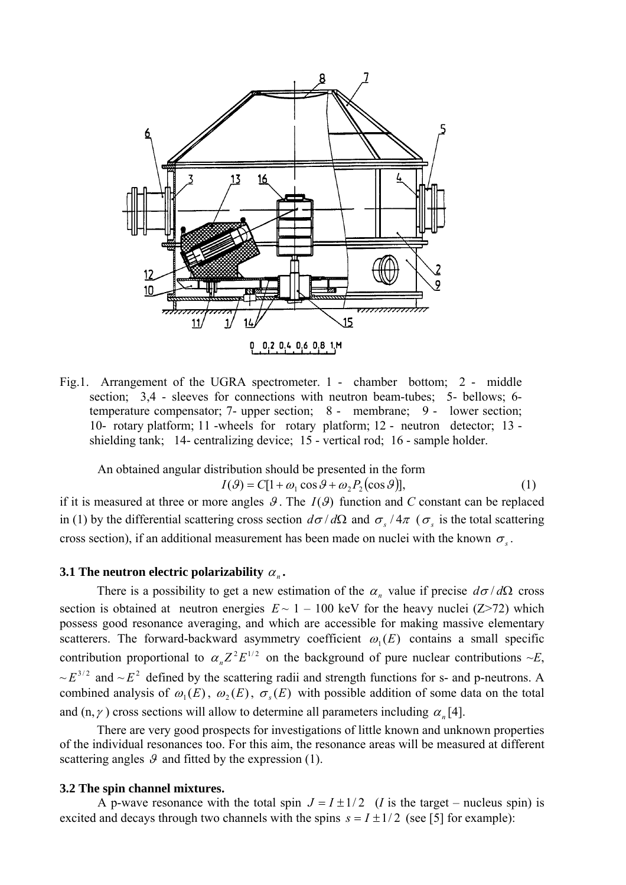

Fig.1. Arrangement of the UGRA spectrometer. 1 - chamber bottom; 2 - middle section; 3,4 - sleeves for connections with neutron beam-tubes; 5- bellows; 6 temperature compensator; 7- upper section; 8 - membrane; 9 - lower section; 10- rotary platform; 11 -wheels for rotary platform; 12 - neutron detector; 13 shielding tank; 14- centralizing device; 15 - vertical rod; 16 - sample holder.

An obtained angular distribution should be presented in the form  $I(\theta) = C[1 + \omega_1 \cos \theta + \omega_2 P_2(\cos \theta)],$  (1)

if it is measured at three or more angles  $\mathcal{G}$ . The  $I(\mathcal{G})$  function and *C* constant can be replaced in (1) by the differential scattering cross section  $d\sigma/d\Omega$  and  $\sigma_s/4\pi$  ( $\sigma_s$  is the total scattering cross section), if an additional measurement has been made on nuclei with the known  $\sigma_s$ .

### **3.1 The neutron electric polarizability**  $\alpha_n$ .

There is a possibility to get a new estimation of the  $\alpha_n$  value if precise  $d\sigma/d\Omega$  cross section is obtained at neutron energies  $E \sim 1 - 100$  keV for the heavy nuclei (Z>72) which possess good resonance averaging, and which are accessible for making massive elementary scatterers. The forward-backward asymmetry coefficient  $\omega_1(E)$  contains a small specific contribution proportional to  $\alpha_n Z^2 E^{1/2}$  on the background of pure nuclear contributions  $\sim E$ ,  $\sim E^{3/2}$  and  $\sim E^2$  defined by the scattering radii and strength functions for s- and p-neutrons. A combined analysis of  $\omega_1(E)$ ,  $\omega_2(E)$ ,  $\sigma_s(E)$  with possible addition of some data on the total and  $(n, \gamma)$  cross sections will allow to determine all parameters including  $\alpha_n[4]$ .

There are very good prospects for investigations of little known and unknown properties of the individual resonances too. For this aim, the resonance areas will be measured at different scattering angles  $\mathcal{G}$  and fitted by the expression (1).

#### **3.2 The spin channel mixtures.**

A p-wave resonance with the total spin  $J = I \pm 1/2$  (*I* is the target – nucleus spin) is excited and decays through two channels with the spins  $s = I \pm 1/2$  (see [5] for example):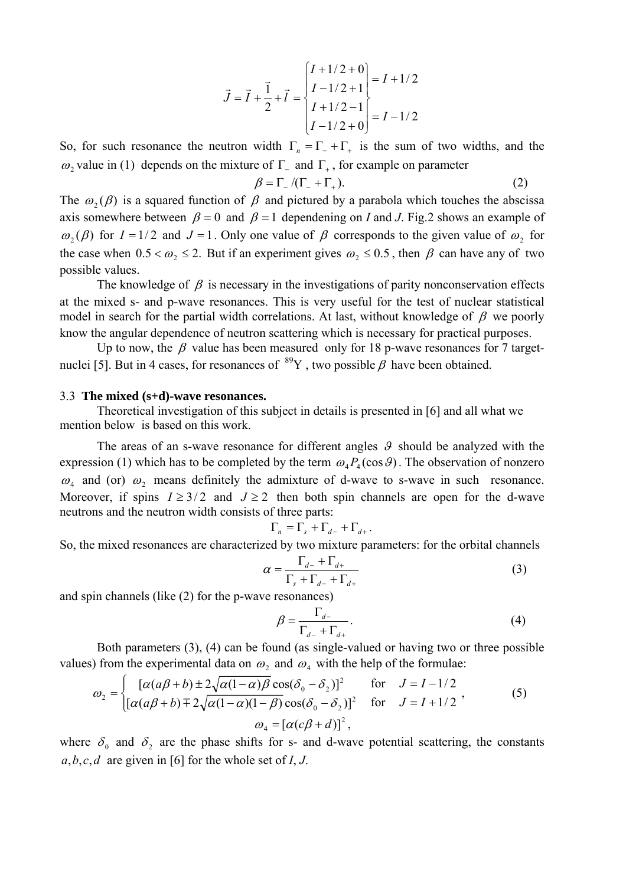$$
\vec{J} = \vec{I} + \frac{1}{2} + \vec{l} = \begin{cases} I + 1/2 + 0 \\ I - 1/2 + 1 \\ I + 1/2 - 1 \\ I - 1/2 + 0 \end{cases} = I - 1/2
$$

So, for such resonance the neutron width  $\Gamma_n = \Gamma_+ + \Gamma_+$  is the sum of two widths, and the ω 2 value in (1) depends on the mixture of  $\Gamma$ <sub>-</sub> and  $\Gamma$ <sub>+</sub>, for example on parameter

$$
\beta = \Gamma_{-}/(\Gamma_{-} + \Gamma_{+}). \tag{2}
$$

The  $\omega_2(\beta)$  is a squared function of  $\beta$  and pictured by a parabola which touches the abscissa axis somewhere between  $\beta = 0$  and  $\beta = 1$  dependening on *I* and *J*. Fig. 2 shows an example of  $\omega_1(\beta)$  for  $I = 1/2$  and  $J = 1$ . Only one value of  $\beta$  corresponds to the given value of  $\omega_2$  for the case when  $0.5 < \omega_2 \le 2$ . But if an experiment gives  $\omega_2 \le 0.5$ , then  $\beta$  can have any of two possible values.

The knowledge of  $\beta$  is necessary in the investigations of parity nonconservation effects at the mixed s-and p-wave resonances. This is very useful for the test of nuclear statistical model in search for the partial width correlations. At last, without knowledge of  $\beta$  we poorly know the angular dependence of neutron scattering which is necessary for practical purposes.

Up to now, the  $\beta$  value has been measured only for 18 p-wave resonances for 7 targetnuclei [5]. But in 4 cases, for resonances of  $^{89}Y$ , two possible β have been obtained.

#### 3.3 **The mixed (s+d)-wave resonances.**

Theoretical investigation of this subject in details is presented in [6] and all what we mention below is based on this work.

The areas of an s-wave resonance for different angles  $\theta$  should be analyzed with the expression (1) which has to be completed by the term  $\omega_4 P_4(\cos \theta)$ . The observation of nonzero  $\omega_4$  and (or)  $\omega_2$  means definitely the admixture of d-wave to s-wave in such resonance. Moreover, if spins  $I \geq 3/2$  and  $J \geq 2$  then both spin channels are open for the d-wave neutrons and the neutron width consists of three parts:

$$
\Gamma_n = \Gamma_s + \Gamma_{d-} + \Gamma_{d+}.
$$

So, the mixed resonances are characterized by two mixt ure parameters: for the orbital channels

$$
\alpha = \frac{\Gamma_{d-} + \Gamma_{d+}}{\Gamma_s + \Gamma_{d-} + \Gamma_{d+}}
$$
(3)

and spin channels (like (2) for the p-wav e resonances)

$$
\beta = \frac{\Gamma_{d-}}{\Gamma_{d-} + \Gamma_{d+}}.\tag{4}
$$

Both parameters  $(3)$ ,  $(4)$  can be found (as single-valued or having two or three possible values) from the experimental data on  $\omega_2$  and  $\omega_4$  with the help of the formulae:

$$
\omega_2 = \begin{cases}\n[\alpha(a\beta + b) \pm 2\sqrt{\alpha(1 - \alpha)\beta} \cos(\delta_0 - \delta_2)]^2 & \text{for} \quad J = I - 1/2 \\
[\alpha(a\beta + b) \mp 2\sqrt{\alpha(1 - \alpha)(1 - \beta)} \cos(\delta_0 - \delta_2)]^2 & \text{for} \quad J = I + 1/2\n\end{cases}
$$
\n
$$
\omega_4 = [\alpha(c\beta + d)]^2,
$$
\n(5)

where  $\delta_0$  and  $\delta_2$  are the phase shifts for s- and d-wave potential scattering, the constants *a*,*b*,*c*,*d* are given in [6] for the whole set of *I*, *J*.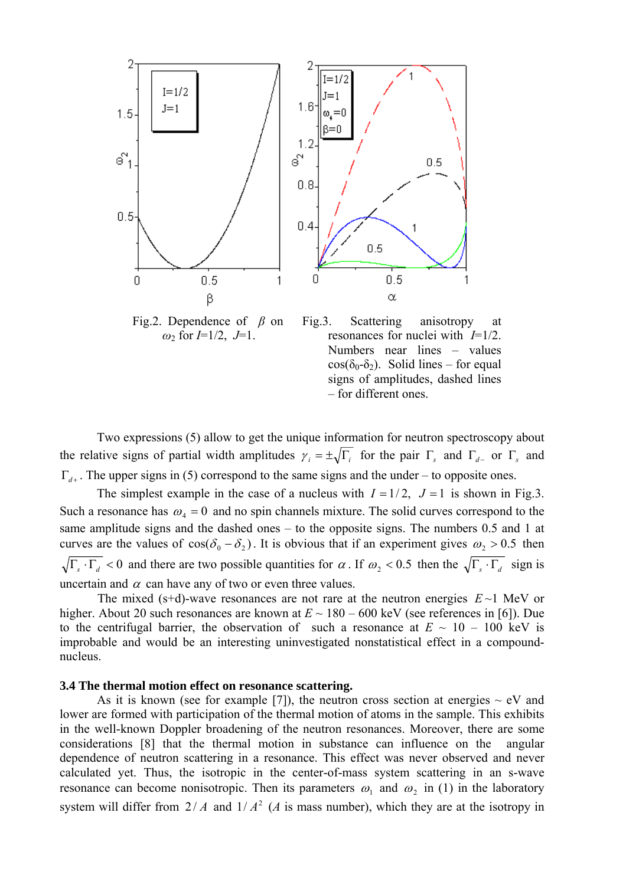

Fig.2. Dependence of *β* on *ω*2 for *I*=1/2, *J*=1.

 Fig.3. Scattering anisotropy at resonances for nuclei with *I*=1/2. Numbers near lines – values  $\cos(\delta_0-\delta_2)$ . Solid lines – for equal signs of amplitudes, dashed lines – for different ones.

Two expressions (5) allow to get the unique information for neutron spectroscopy about the relative signs of partial width amplitudes  $\gamma_i = \pm \sqrt{\Gamma_i}$  for the pair  $\Gamma_s$  and  $\Gamma_{d-}$  or  $\Gamma_s$  and  $\Gamma_{d+}$ . The upper signs in (5) correspond to the same signs and the under – to opposite ones.

The simplest example in the case of a nucleus with  $I = 1/2$ ,  $J = 1$  is shown in Fig.3. Such a resonance has  $\omega_4 = 0$  and no spin channels mixture. The solid curves correspond to the same amplitude signs and the dashed ones – to the opposite signs. The numbers 0.5 and 1 at curves are the values of  $cos(\delta_0 - \delta_2)$ . It is obvious that if an experiment gives  $\omega_2 > 0.5$  then  $\sqrt{\Gamma_s \cdot \Gamma_d}$  < 0 and there are two possible quantities for  $\alpha$ . If  $\omega_2$  < 0.5 then the  $\sqrt{\Gamma_s \cdot \Gamma_d}$  sign is uncertain and  $\alpha$  can have any of two or even three values.

The mixed (s+d)-wave resonances are not rare at the neutron energies  $E \sim 1$  MeV or higher. About 20 such resonances are known at  $E \sim 180 - 600$  keV (see references in [6]). Due to the centrifugal barrier, the observation of such a resonance at  $E \sim 10 - 100$  keV is improbable and would be an interesting uninvestigated nonstatistical effect in a compoundnucleus.

### **3.4 The thermal motion effect on resonance scattering.**

As it is known (see for example [7]), the neutron cross section at energies  $\sim eV$  and lower are formed with participation of the thermal motion of atoms in the sample. This exhibits in the well-known Doppler broadening of the neutron resonances. Moreover, there are some considerations [8] that the thermal motion in substance can influence on the angular dependence of neutron scattering in a resonance. This effect was never observed and never calculated yet. Thus, the isotropic in the center-of-mass system scattering in an s-wave resonance can become nonisotropic. Then its parameters  $\omega_1$  and  $\omega_2$  in (1) in the laboratory system will differ from  $2/A$  and  $1/A<sup>2</sup>$  (*A* is mass number), which they are at the isotropy in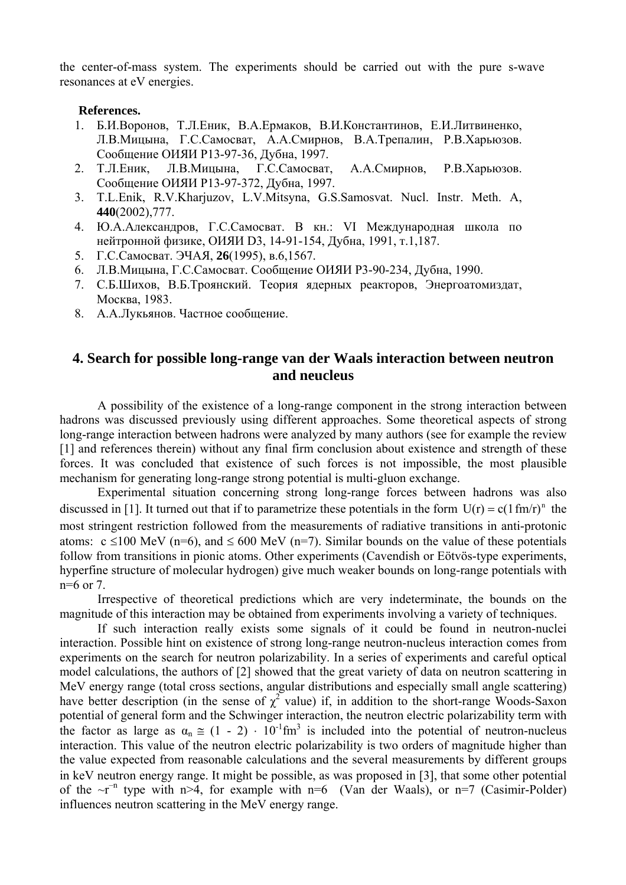the center-of-mass system. The experiments should be carried out with the pure s-wave resonances at eV energies.

### **References.**

- 1. Б.И.Воронов, Т.Л.Еник, В.А.Ермаков, В.И.Константинов, Е.И.Литвиненко, Л.В.Мицына, Г.С.Самосват, А.А.Смирнов, В.А.Трепалин, Р.В.Харьюзов. Сообщение ОИЯИ Р13-97-36, Дубна, 1997.
- 2. Т.Л.Еник, Л.В.Мицына, Г.С.Самосват, А.А.Смирнов, Р.В.Харьюзов. Сообщение ОИЯИ Р13-97-372, Дубна, 1997.
- 3. T.L.Enik, R.V.Kharjuzov, L.V.Mitsyna, G.S.Samosvat. Nucl. Instr. Meth. A, **440**(2002),777.
- 4. Ю.А.Александров, Г.С.Самосват. В кн.: VI Международная школа по нейтронной физике, ОИЯИ D3, 14-91-154, Дубна, 1991, т.1,187.
- 5. Г.С.Самосват. ЭЧАЯ, **26**(1995), в.6,1567.
- 6. Л.В.Мицына, Г.С.Самосват. Сообщение ОИЯИ Р3-90-234, Дубна, 1990.
- 7. С.Б.Шихов, В.Б.Троянский. Теория ядерных реакторов, Энергоатомиздат, Москва, 1983.
- 8. А.А.Лукьянов. Частное сообщение.

# **4. Search for possible long-range van der Waals interaction between neutron and neucleus**

A possibility of the existence of a long-range component in the strong interaction between hadrons was discussed previously using different approaches. Some theoretical aspects of strong long-range interaction between hadrons were analyzed by many authors (see for example the review [1] and references therein) without any final firm conclusion about existence and strength of these forces. It was concluded that existence of such forces is not impossible, the most plausible mechanism for generating long-range strong potential is multi-gluon exchange.

Experimental situation concerning strong long-range forces between hadrons was also discussed in [1]. It turned out that if to parametrize these potentials in the form  $U(r) = c(1 fm/r)^n$  the most stringent restriction followed from the measurements of radiative transitions in anti-protonic atoms:  $c \le 100$  MeV (n=6), and  $\le 600$  MeV (n=7). Similar bounds on the value of these potentials follow from transitions in pionic atoms. Other experiments (Cavendish or Eötvös-type experiments, hyperfine structure of molecular hydrogen) give much weaker bounds on long-range potentials with  $n=6$  or 7.

Irrespective of theoretical predictions which are very indeterminate, the bounds on the magnitude of this interaction may be obtained from experiments involving a variety of techniques.

If such interaction really exists some signals of it could be found in neutron-nuclei interaction. Possible hint on existence of strong long-range neutron-nucleus interaction comes from experiments on the search for neutron polarizability. In a series of experiments and careful optical model calculations, the authors of [2] showed that the great variety of data on neutron scattering in MeV energy range (total cross sections, angular distributions and especially small angle scattering) have better description (in the sense of  $\chi^2$  value) if, in addition to the short-range Woods-Saxon potential of general form and the Schwinger interaction, the neutron electric polarizability term with the factor as large as  $\alpha_n \approx (1 - 2) \cdot 10^{-1}$  fm<sup>3</sup> is included into the potential of neutron-nucleus interaction. This value of the neutron electric polarizability is two orders of magnitude higher than the value expected from reasonable calculations and the several measurements by different groups in keV neutron energy range. It might be possible, as was proposed in [3], that some other potential of the  $-r^{-n}$  type with n>4, for example with n=6 (Van der Waals), or n=7 (Casimir-Polder) influences neutron scattering in the MeV energy range.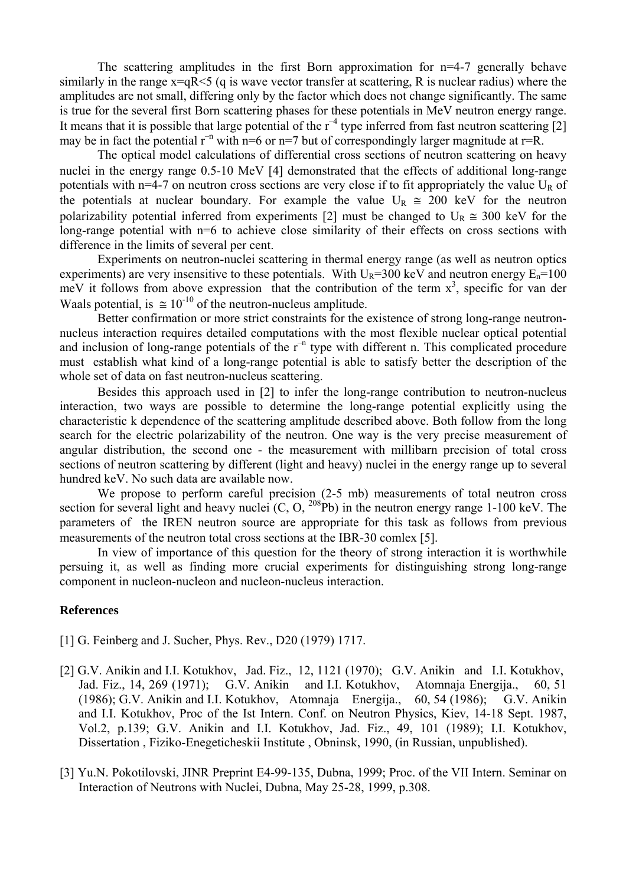The scattering amplitudes in the first Born approximation for n=4-7 generally behave similarly in the range  $x=qR \leq 5$  (q is wave vector transfer at scattering, R is nuclear radius) where the amplitudes are not small, differing only by the factor which does not change significantly. The same is true for the several first Born scattering phases for these potentials in MeV neutron energy range. It means that it is possible that large potential of the  $r^{-4}$  type inferred from fast neutron scattering [2] may be in fact the potential  $r^{-n}$  with n=6 or n=7 but of correspondingly larger magnitude at r=R.

The optical model calculations of differential cross sections of neutron scattering on heavy nuclei in the energy range 0.5-10 MeV [4] demonstrated that the effects of additional long-range potentials with  $n=4-7$  on neutron cross sections are very close if to fit appropriately the value  $U_R$  of the potentials at nuclear boundary. For example the value  $U_R \approx 200$  keV for the neutron polarizability potential inferred from experiments [2] must be changed to  $U_R \approx 300$  keV for the long-range potential with  $n=6$  to achieve close similarity of their effects on cross sections with difference in the limits of several per cent.

Experiments on neutron-nuclei scattering in thermal energy range (as well as neutron optics experiments) are very insensitive to these potentials. With  $U_R$ =300 keV and neutron energy  $E_n$ =100 meV it follows from above expression that the contribution of the term  $x^3$ , specific for van der Waals potential, is  $\approx 10^{-10}$  of the neutron-nucleus amplitude.

Better confirmation or more strict constraints for the existence of strong long-range neutronnucleus interaction requires detailed computations with the most flexible nuclear optical potential and inclusion of long-range potentials of the  $r^{-n}$  type with different n. This complicated procedure must establish what kind of a long-range potential is able to satisfy better the description of the whole set of data on fast neutron-nucleus scattering.

Besides this approach used in [2] to infer the long-range contribution to neutron-nucleus interaction, two ways are possible to determine the long-range potential explicitly using the characteristic k dependence of the scattering amplitude described above. Both follow from the long search for the electric polarizability of the neutron. One way is the very precise measurement of angular distribution, the second one - the measurement with millibarn precision of total cross sections of neutron scattering by different (light and heavy) nuclei in the energy range up to several hundred keV. No such data are available now.

We propose to perform careful precision (2-5 mb) measurements of total neutron cross section for several light and heavy nuclei  $(C, O, {}^{208}Pb)$  in the neutron energy range 1-100 keV. The parameters of the IREN neutron source are appropriate for this task as follows from previous measurements of the neutron total cross sections at the IBR-30 comlex [5].

In view of importance of this question for the theory of strong interaction it is worthwhile persuing it, as well as finding more crucial experiments for distinguishing strong long-range component in nucleon-nucleon and nucleon-nucleus interaction.

### **References**

- [1] G. Feinberg and J. Sucher, Phys. Rev., D20 (1979) 1717.
- [2] G.V. Anikin and I.I. Kotukhov, Jad. Fiz., 12, 1121 (1970); G.V. Anikin and I.I. Kotukhov, Jad. Fiz., 14, 269 (1971); G.V. Anikin and I.I. Kotukhov, Atomnaja Energija., 60, 51 (1986); G.V. Anikin and I.I. Kotukhov, Atomnaja Energija., 60, 54 (1986); G.V. Anikin and I.I. Kotukhov, Proc of the Ist Intern. Conf. on Neutron Physics, Kiev, 14-18 Sept. 1987, Vol.2, p.139; G.V. Anikin and I.I. Kotukhov, Jad. Fiz., 49, 101 (1989); I.I. Kotukhov, Dissertation , Fiziko-Enegeticheskii Institute , Obninsk, 1990, (in Russian, unpublished).
- [3] Yu.N. Pokotilovski, JINR Preprint E4-99-135, Dubna, 1999; Proc. of the VII Intern. Seminar on Interaction of Neutrons with Nuclei, Dubna, May 25-28, 1999, p.308.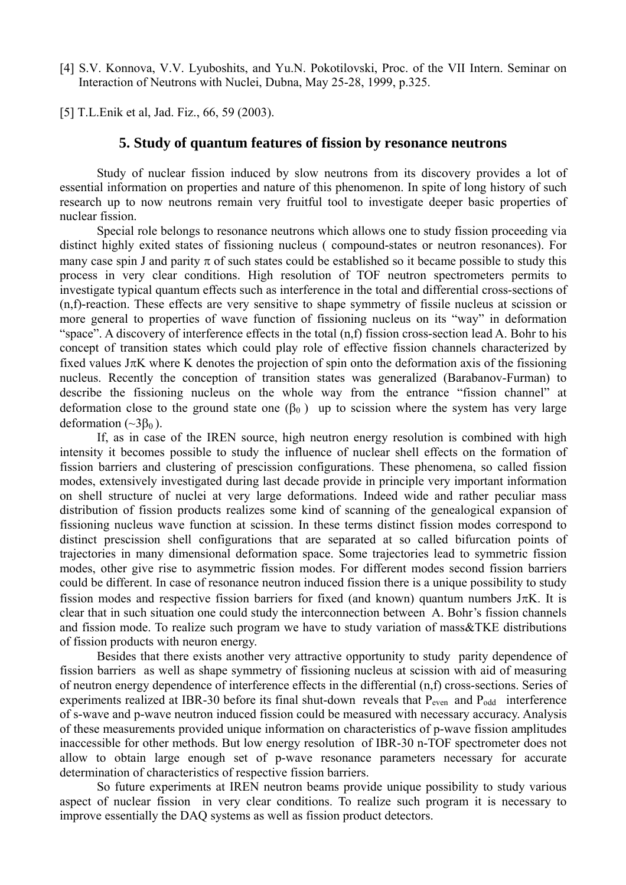[4] S.V. Konnova, V.V. Lyuboshits, and Yu.N. Pokotilovski, Proc. of the VII Intern. Seminar on Interaction of Neutrons with Nuclei, Dubna, May 25-28, 1999, p.325.

[5] T.L.Enik et al, Jad. Fiz., 66, 59 (2003).

### **5. Study of quantum features of fission by resonance neutrons**

Study of nuclear fission induced by slow neutrons from its discovery provides a lot of essential information on properties and nature of this phenomenon. In spite of long history of such research up to now neutrons remain very fruitful tool to investigate deeper basic properties of nuclear fission.

Special role belongs to resonance neutrons which allows one to study fission proceeding via distinct highly exited states of fissioning nucleus ( compound-states or neutron resonances). For many case spin J and parity  $\pi$  of such states could be established so it became possible to study this process in very clear conditions. High resolution of TOF neutron spectrometers permits to investigate typical quantum effects such as interference in the total and differential cross-sections of (n,f)-reaction. These effects are very sensitive to shape symmetry of fissile nucleus at scission or more general to properties of wave function of fissioning nucleus on its "way" in deformation "space". A discovery of interference effects in the total (n,f) fission cross-section lead A. Bohr to his concept of transition states which could play role of effective fission channels characterized by fixed values  $J\pi K$  where K denotes the projection of spin onto the deformation axis of the fissioning nucleus. Recently the conception of transition states was generalized (Barabanov-Furman) to describe the fissioning nucleus on the whole way from the entrance "fission channel" at deformation close to the ground state one  $(\beta_0)$  up to scission where the system has very large deformation  $(\sim 3\beta_0)$ .

If, as in case of the IREN source, high neutron energy resolution is combined with high intensity it becomes possible to study the influence of nuclear shell effects on the formation of fission barriers and clustering of prescission configurations. These phenomena, so called fission modes, extensively investigated during last decade provide in principle very important information on shell structure of nuclei at very large deformations. Indeed wide and rather peculiar mass distribution of fission products realizes some kind of scanning of the genealogical expansion of fissioning nucleus wave function at scission. In these terms distinct fission modes correspond to distinct prescission shell configurations that are separated at so called bifurcation points of trajectories in many dimensional deformation space. Some trajectories lead to symmetric fission modes, other give rise to asymmetric fission modes. For different modes second fission barriers could be different. In case of resonance neutron induced fission there is a unique possibility to study fission modes and respective fission barriers for fixed (and known) quantum numbers  $J\pi K$ . It is clear that in such situation one could study the interconnection between A. Bohr's fission channels and fission mode. To realize such program we have to study variation of mass&TKE distributions of fission products with neuron energy.

Besides that there exists another very attractive opportunity to study parity dependence of fission barriers as well as shape symmetry of fissioning nucleus at scission with aid of measuring of neutron energy dependence of interference effects in the differential (n,f) cross-sections. Series of experiments realized at IBR-30 before its final shut-down reveals that  $P_{even}$  and  $P_{odd}$  interference of s-wave and p-wave neutron induced fission could be measured with necessary accuracy. Analysis of these measurements provided unique information on characteristics of p-wave fission amplitudes inaccessible for other methods. But low energy resolution of IBR-30 n-TOF spectrometer does not allow to obtain large enough set of p-wave resonance parameters necessary for accurate determination of characteristics of respective fission barriers.

So future experiments at IREN neutron beams provide unique possibility to study various aspect of nuclear fission in very clear conditions. To realize such program it is necessary to improve essentially the DAQ systems as well as fission product detectors.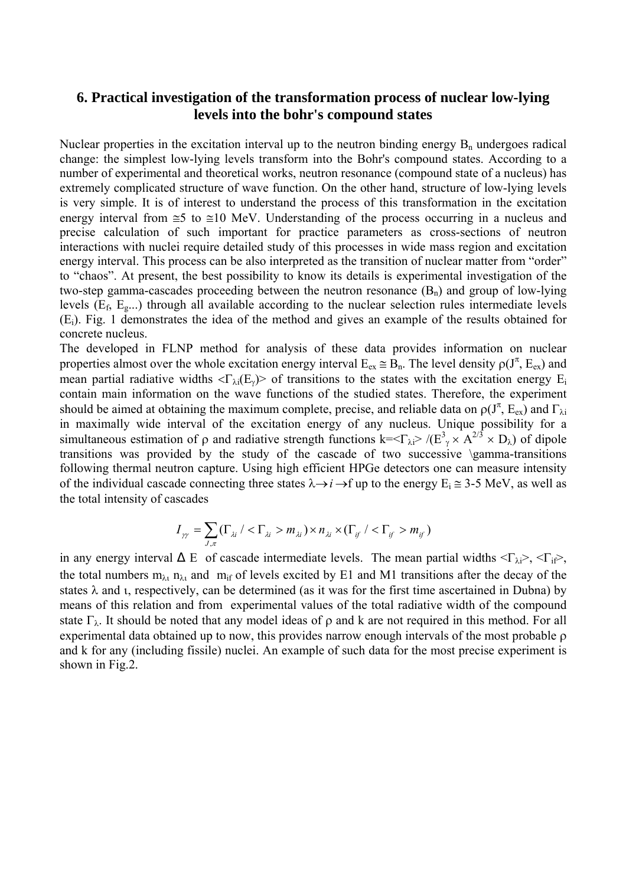# **6. Practical investigation of the transformation process of nuclear low-lying levels into the bohr's compound states**

Nuclear properties in the excitation interval up to the neutron binding energy  $B_n$  undergoes radical change: the simplest low-lying levels transform into the Bohr's compound states. According to a number of experimental and theoretical works, neutron resonance (compound state of a nucleus) has extremely complicated structure of wave function. On the other hand, structure of low-lying levels is very simple. It is of interest to understand the process of this transformation in the excitation energy interval from ≅5 to ≅10 MeV. Understanding of the process occurring in a nucleus and precise calculation of such important for practice parameters as cross-sections of neutron interactions with nuclei require detailed study of this processes in wide mass region and excitation energy interval. This process can be also interpreted as the transition of nuclear matter from "order" to "chaos". At present, the best possibility to know its details is experimental investigation of the two-step gamma-cascades proceeding between the neutron resonance  $(B_n)$  and group of low-lying levels (Ef, Eg...) through all available according to the nuclear selection rules intermediate levels (Ei). Fig. 1 demonstrates the idea of the method and gives an example of the results obtained for concrete nucleus.

The developed in FLNP method for analysis of these data provides information on nuclear properties almost over the whole excitation energy interval  $E_{ex} \cong B_n$ . The level density  $\rho(J^{\pi}, E_{ex})$  and mean partial radiative widths  $\langle \Gamma_{\lambda i}(E_y) \rangle$  of transitions to the states with the excitation energy  $E_i$ contain main information on the wave functions of the studied states. Therefore, the experiment should be aimed at obtaining the maximum complete, precise, and reliable data on  $\rho(J^{\pi}, E_{ex})$  and  $\Gamma_{\lambda i}$ in maximally wide interval of the excitation energy of any nucleus. Unique possibility for a simultaneous estimation of  $\rho$  and radiative strength functions k= $\langle \Gamma_{\lambda i} \rangle / (\Gamma_{\gamma}^3 \times A^{2/3} \times D_{\lambda})$  of dipole transitions was provided by the study of the cascade of two successive \gamma-transitions following thermal neutron capture. Using high efficient HPGe detectors one can measure intensity of the individual cascade connecting three states  $\lambda \rightarrow i \rightarrow f$  up to the energy  $E_i \approx 3-5$  MeV, as well as the total intensity of cascades

$$
I_{\gamma\gamma} = \sum_{J,\pi} \left(\Gamma_{\lambda i} / \langle \Gamma_{\lambda i} > m_{\lambda i}\right) \times n_{\lambda i} \times \left(\Gamma_{if} / \langle \Gamma_{if} > m_{if}\right)\right)
$$

in any energy interval E of cascade intermediate levels. The mean partial widths  $\langle \Gamma_{\lambda i} \rangle$ ,  $\langle \Gamma_{i} \rangle$ , the total numbers  $m_{\lambda_1} n_{\lambda_2}$  and  $m_{if}$  of levels excited by E1 and M1 transitions after the decay of the states  $\lambda$  and *i*, respectively, can be determined (as it was for the first time ascertained in Dubna) by means of this relation and from experimental values of the total radiative width of the compound state  $\Gamma_{\lambda}$ . It should be noted that any model ideas of  $\rho$  and k are not required in this method. For all experimental data obtained up to now, this provides narrow enough intervals of the most probable ρ and k for any (including fissile) nuclei. An example of such data for the most precise experiment is shown in Fig.2.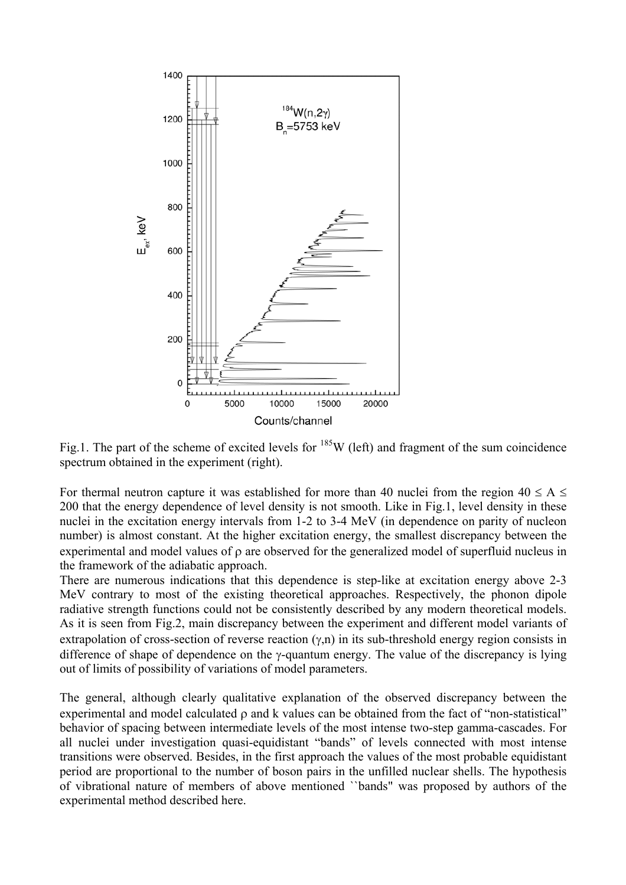

Fig.1. The part of the scheme of excited levels for  $^{185}$ W (left) and fragment of the sum coincidence spectrum obtained in the experiment (right).

For thermal neutron capture it was established for more than 40 nuclei from the region  $40 \le A \le$ 200 that the energy dependence of level density is not smooth. Like in Fig.1, level density in these nuclei in the excitation energy intervals from 1-2 to 3-4 MeV (in dependence on parity of nucleon number) is almost constant. At the higher excitation energy, the smallest discrepancy between the experimental and model values of ρ are observed for the generalized model of superfluid nucleus in the framework of the adiabatic approach.

There are numerous indications that this dependence is step-like at excitation energy above 2-3 MeV contrary to most of the existing theoretical approaches. Respectively, the phonon dipole radiative strength functions could not be consistently described by any modern theoretical models. As it is seen from Fig.2, main discrepancy between the experiment and different model variants of extrapolation of cross-section of reverse reaction  $(\gamma, n)$  in its sub-threshold energy region consists in difference of shape of dependence on the γ-quantum energy. The value of the discrepancy is lying out of limits of possibility of variations of model parameters.

The general, although clearly qualitative explanation of the observed discrepancy between the experimental and model calculated ρ and k values can be obtained from the fact of "non-statistical" behavior of spacing between intermediate levels of the most intense two-step gamma-cascades. For all nuclei under investigation quasi-equidistant "bands" of levels connected with most intense transitions were observed. Besides, in the first approach the values of the most probable equidistant period are proportional to the number of boson pairs in the unfilled nuclear shells. The hypothesis of vibrational nature of members of above mentioned ``bands" was proposed by authors of the experimental method described here.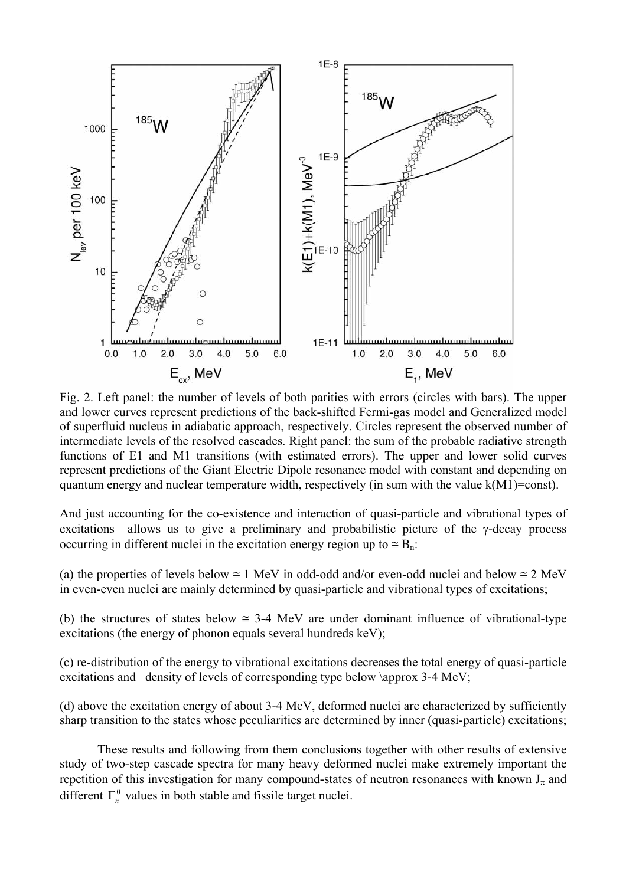

Fig. 2. Left panel: the number of levels of both parities with errors (circles with bars). The upper and lower curves represent predictions of the back-shifted Fermi-gas model and Generalized model of superfluid nucleus in adiabatic approach, respectively. Circles represent the observed number of intermediate levels of the resolved cascades. Right panel: the sum of the probable radiative strength functions of E1 and M1 transitions (with estimated errors). The upper and lower solid curves represent predictions of the Giant Electric Dipole resonance model with constant and depending on quantum energy and nuclear temperature width, respectively (in sum with the value k(M1)=const).

And just accounting for the co-existence and interaction of quasi-particle and vibrational types of excitations allows us to give a preliminary and probabilistic picture of the  $\gamma$ -decay process occurring in different nuclei in the excitation energy region up to  $\approx B_n$ .

(a) the properties of levels below  $\cong$  1 MeV in odd-odd and/or even-odd nuclei and below  $\cong$  2 MeV in even-even nuclei are mainly determined by quasi-particle and vibrational types of excitations;

(b) the structures of states below  $\approx$  3-4 MeV are under dominant influence of vibrational-type excitations (the energy of phonon equals several hundreds keV);

(c) re-distribution of the energy to vibrational excitations decreases the total energy of quasi-particle excitations and density of levels of corresponding type below \approx 3-4 MeV;

(d) above the excitation energy of about 3-4 MeV, deformed nuclei are characterized by sufficiently sharp transition to the states whose peculiarities are determined by inner (quasi-particle) excitations;

These results and following from them conclusions together with other results of extensive study of two-step cascade spectra for many heavy deformed nuclei make extremely important the repetition of this investigation for many compound-states of neutron resonances with known  $J_{\pi}$  and different  $\Gamma_n^0$  values in both stable and fissile target nuclei.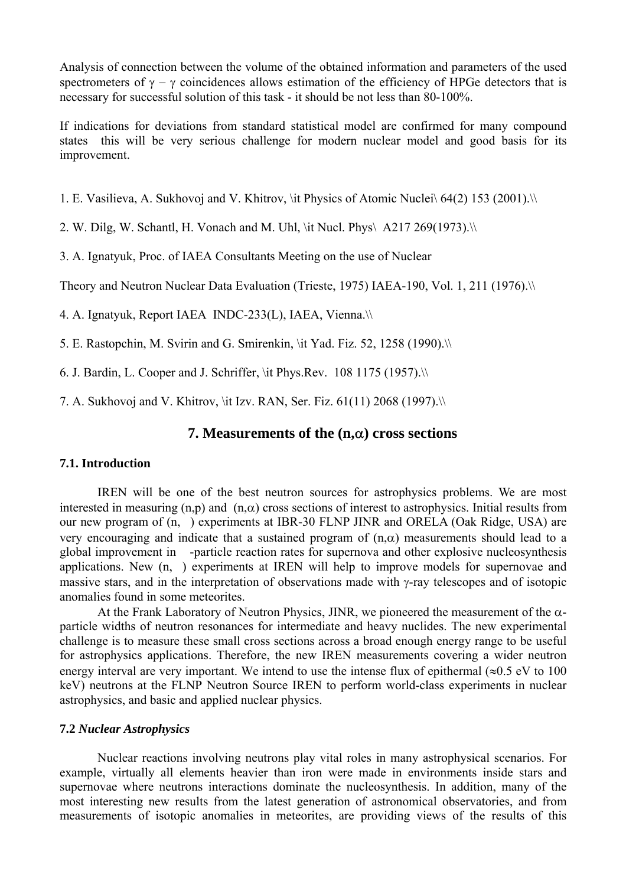Analysis of connection between the volume of the obtained information and parameters of the used spectrometers of  $\gamma - \gamma$  coincidences allows estimation of the efficiency of HPGe detectors that is necessary for successful solution of this task - it should be not less than 80-100%.

If indications for deviations from standard statistical model are confirmed for many compound states this will be very serious challenge for modern nuclear model and good basis for its improvement.

1. E. Vasilieva, A. Sukhovoj and V. Khitrov, \it Physics of Atomic Nuclei\ 64(2) 153 (2001).\\

2. W. Dilg, W. Schantl, H. Vonach and M. Uhl, \it Nucl. Phys $\Delta$  A217 269(1973). $\setminus$ 

3. A. Ignatyuk, Proc. of IAEA Consultants Meeting on the use of Nuclear

Theory and Neutron Nuclear Data Evaluation (Trieste, 1975) IAEA-190, Vol. 1, 211 (1976).\\

4. A. Ignatyuk, Report IAEA INDC-233(L), IAEA, Vienna.\\

5. E. Rastopchin, M. Svirin and G. Smirenkin, \it Yad. Fiz. 52, 1258 (1990).\\

6. J. Bardin, L. Cooper and J. Schriffer, \it Phys.Rev.  $108$  1175 (1957). $\aleph$ 

7. A. Sukhovoj and V. Khitrov, \it Izv. RAN, Ser. Fiz. 61(11) 2068 (1997).\\

# **7. Measurements of the (n,**α**) cross sections**

### **7.1. Introduction**

IREN will be one of the best neutron sources for astrophysics problems. We are most interested in measuring (n,p) and (n, $\alpha$ ) cross sections of interest to astrophysics. Initial results from our new program of  $(n, \cdot)$  experiments at IBR-30 FLNP JINR and ORELA (Oak Ridge, USA) are very encouraging and indicate that a sustained program of  $(n, \alpha)$  measurements should lead to a global improvement in -particle reaction rates for supernova and other explosive nucleosynthesis applications. New (n,) experiments at IREN will help to improve models for supernovae and massive stars, and in the interpretation of observations made with γ-ray telescopes and of isotopic anomalies found in some meteorites.

At the Frank Laboratory of Neutron Physics, JINR, we pioneered the measurement of the  $\alpha$ particle widths of neutron resonances for intermediate and heavy nuclides. The new experimental challenge is to measure these small cross sections across a broad enough energy range to be useful for astrophysics applications. Therefore, the new IREN measurements covering a wider neutron energy interval are very important. We intend to use the intense flux of epithermal ( $\approx 0.5$  eV to 100 keV) neutrons at the FLNP Neutron Source IREN to perform world-class experiments in nuclear astrophysics, and basic and applied nuclear physics.

### **7.2** *Nuclear Astrophysics*

Nuclear reactions involving neutrons play vital roles in many astrophysical scenarios. For example, virtually all elements heavier than iron were made in environments inside stars and supernovae where neutrons interactions dominate the nucleosynthesis. In addition, many of the most interesting new results from the latest generation of astronomical observatories, and from measurements of isotopic anomalies in meteorites, are providing views of the results of this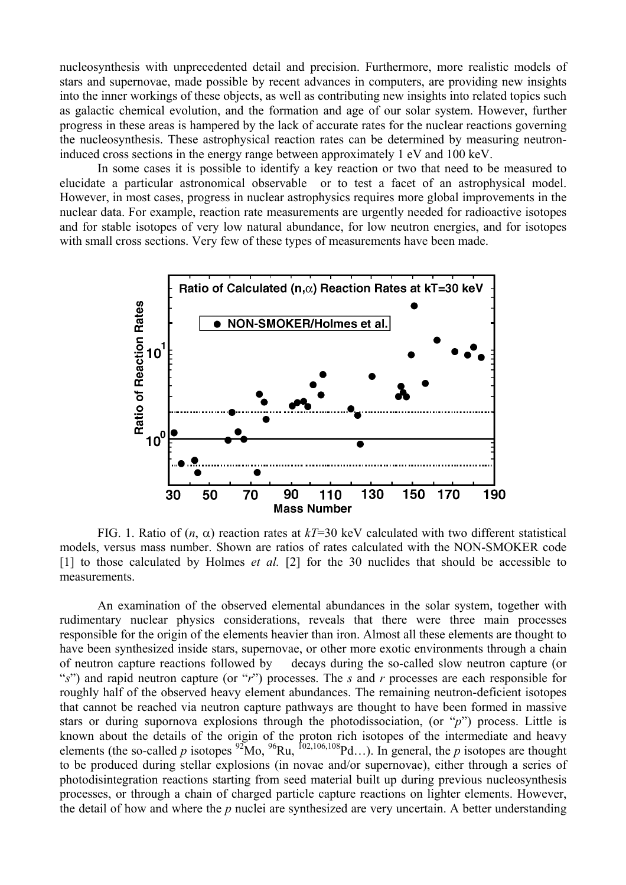nucleosynthesis with unprecedented detail and precision. Furthermore, more realistic models of stars and supernovae, made possible by recent advances in computers, are providing new insights into the inner workings of these objects, as well as contributing new insights into related topics such as galactic chemical evolution, and the formation and age of our solar system. However, further progress in these areas is hampered by the lack of accurate rates for the nuclear reactions governing the nucleosynthesis. These astrophysical reaction rates can be determined by measuring neutroninduced cross sections in the energy range between approximately 1 eV and 100 keV.

In some cases it is possible to identify a key reaction or two that need to be measured to elucidate a particular astronomical observable or to test a facet of an astrophysical model. However, in most cases, progress in nuclear astrophysics requires more global improvements in the nuclear data. For example, reaction rate measurements are urgently needed for radioactive isotopes and for stable isotopes of very low natural abundance, for low neutron energies, and for isotopes with small cross sections. Very few of these types of measurements have been made.



FIG. 1. Ratio of  $(n, \alpha)$  reaction rates at  $kT=30$  keV calculated with two different statistical models, versus mass number. Shown are ratios of rates calculated with the NON-SMOKER code [1] to those calculated by Holmes *et al.* [2] for the 30 nuclides that should be accessible to measurements.

An examination of the observed elemental abundances in the solar system, together with rudimentary nuclear physics considerations, reveals that there were three main processes responsible for the origin of the elements heavier than iron. Almost all these elements are thought to have been synthesized inside stars, supernovae, or other more exotic environments through a chain of neutron capture reactions followed by decays during the so-called slow neutron capture (or "*s*") and rapid neutron capture (or "*r*") processes. The *s* and *r* processes are each responsible for roughly half of the observed heavy element abundances. The remaining neutron-deficient isotopes that cannot be reached via neutron capture pathways are thought to have been formed in massive stars or during supornova explosions through the photodissociation, (or "*p*") process. Little is known about the details of the origin of the proton rich isotopes of the intermediate and heavy elements (the so-called *p* isotopes  ${}^{92}$ Mo,  ${}^{96}$ Ru,  ${}^{102,106,108}$ Pd…). In general, the *p* isotopes are thought to be produced during stellar explosions (in novae and/or supernovae), either through a series of photodisintegration reactions starting from seed material built up during previous nucleosynthesis processes, or through a chain of charged particle capture reactions on lighter elements. However, the detail of how and where the *p* nuclei are synthesized are very uncertain. A better understanding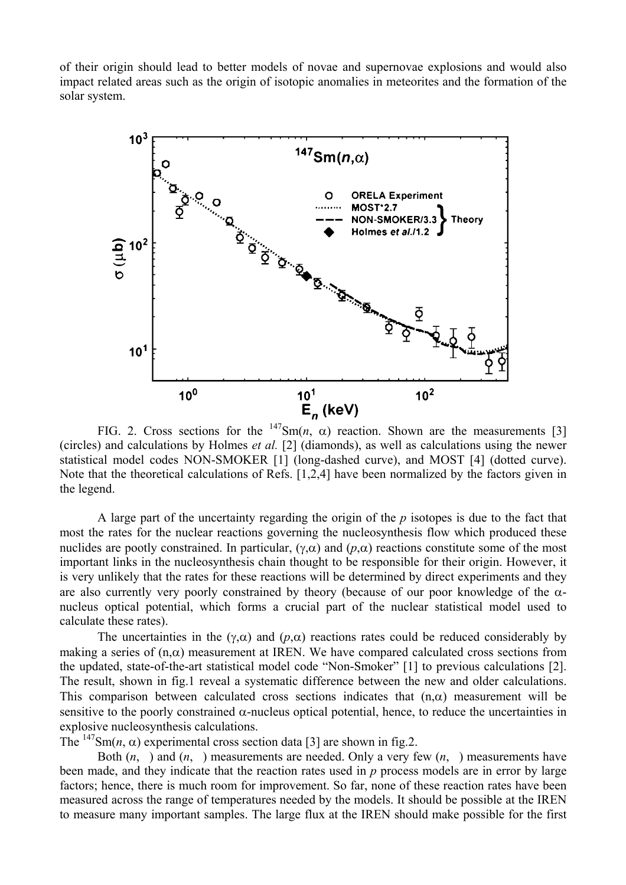of their origin should lead to better models of novae and supernovae explosions and would also impact related areas such as the origin of isotopic anomalies in meteorites and the formation of the solar system.



FIG. 2. Cross sections for the  $147Sm(n, \alpha)$  reaction. Shown are the measurements [3] (circles) and calculations by Holmes *et al.* [2] (diamonds), as well as calculations using the newer statistical model codes NON-SMOKER [1] (long-dashed curve), and MOST [4] (dotted curve). Note that the theoretical calculations of Refs. [1,2,4] have been normalized by the factors given in the legend.

A large part of the uncertainty regarding the origin of the *p* isotopes is due to the fact that most the rates for the nuclear reactions governing the nucleosynthesis flow which produced these nuclides are pootly constrained. In particular,  $(γ, α)$  and  $(ρ, α)$  reactions constitute some of the most important links in the nucleosynthesis chain thought to be responsible for their origin. However, it is very unlikely that the rates for these reactions will be determined by direct experiments and they are also currently very poorly constrained by theory (because of our poor knowledge of the  $\alpha$ nucleus optical potential, which forms a crucial part of the nuclear statistical model used to calculate these rates).

The uncertainties in the ( $\gamma$ , $\alpha$ ) and ( $p$ , $\alpha$ ) reactions rates could be reduced considerably by making a series of  $(n, \alpha)$  measurement at IREN. We have compared calculated cross sections from the updated, state-of-the-art statistical model code "Non-Smoker" [1] to previous calculations [2]. The result, shown in fig.1 reveal a systematic difference between the new and older calculations. This comparison between calculated cross sections indicates that  $(n, \alpha)$  measurement will be sensitive to the poorly constrained  $\alpha$ -nucleus optical potential, hence, to reduce the uncertainties in explosive nucleosynthesis calculations.

The <sup>147</sup>Sm(*n*,  $\alpha$ ) experimental cross section data [3] are shown in fig.2.

Both  $(n, \cdot)$  and  $(n, \cdot)$  measurements are needed. Only a very few  $(n, \cdot)$  measurements have been made, and they indicate that the reaction rates used in *p* process models are in error by large factors; hence, there is much room for improvement. So far, none of these reaction rates have been measured across the range of temperatures needed by the models. It should be possible at the IREN to measure many important samples. The large flux at the IREN should make possible for the first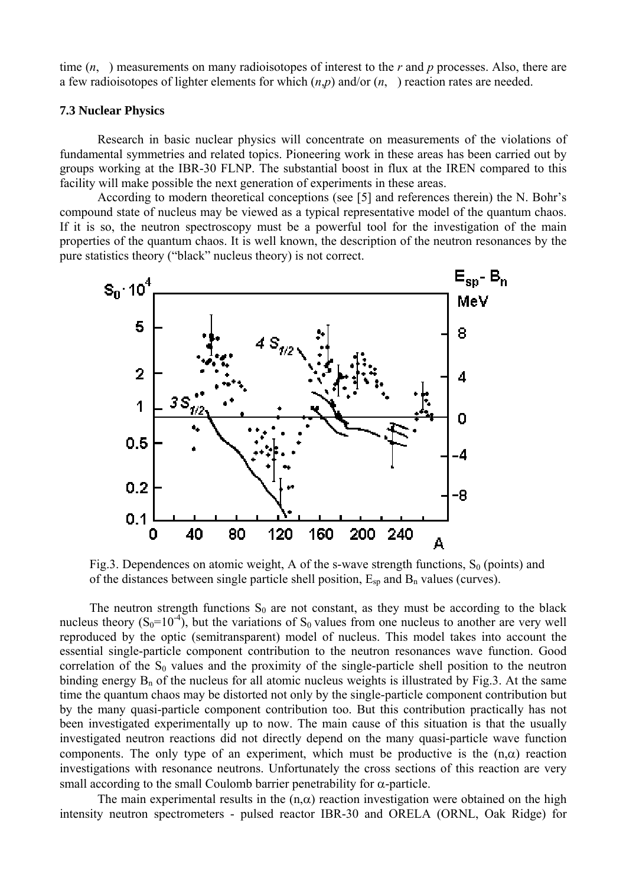time (*n*,) measurements on many radioisotopes of interest to the *r* and *p* processes. Also, there are a few radioisotopes of lighter elements for which (*n*,*p*) and/or (*n*,) reaction rates are needed.

### **7.3 Nuclear Physics**

Research in basic nuclear physics will concentrate on measurements of the violations of fundamental symmetries and related topics. Pioneering work in these areas has been carried out by groups working at the IBR-30 FLNP. The substantial boost in flux at the IREN compared to this facility will make possible the next generation of experiments in these areas.

According to modern theoretical conceptions (see [5] and references therein) the N. Bohr's compound state of nucleus may be viewed as a typical representative model of the quantum chaos. If it is so, the neutron spectroscopy must be a powerful tool for the investigation of the main properties of the quantum chaos. It is well known, the description of the neutron resonances by the pure statistics theory ("black" nucleus theory) is not correct.



Fig.3. Dependences on atomic weight, A of the s-wave strength functions,  $S_0$  (points) and of the distances between single particle shell position,  $E_{sp}$  and  $B_n$  values (curves).

The neutron strength functions  $S_0$  are not constant, as they must be according to the black nucleus theory  $(S_0=10^{-4})$ , but the variations of  $S_0$  values from one nucleus to another are very well reproduced by the optic (semitransparent) model of nucleus. This model takes into account the essential single-particle component contribution to the neutron resonances wave function. Good correlation of the  $S_0$  values and the proximity of the single-particle shell position to the neutron binding energy  $B_n$  of the nucleus for all atomic nucleus weights is illustrated by Fig.3. At the same time the quantum chaos may be distorted not only by the single-particle component contribution but by the many quasi-particle component contribution too. But this contribution practically has not been investigated experimentally up to now. The main cause of this situation is that the usually investigated neutron reactions did not directly depend on the many quasi-particle wave function components. The only type of an experiment, which must be productive is the  $(n, \alpha)$  reaction investigations with resonance neutrons. Unfortunately the cross sections of this reaction are very small according to the small Coulomb barrier penetrability for  $\alpha$ -particle.

The main experimental results in the  $(n, \alpha)$  reaction investigation were obtained on the high intensity neutron spectrometers - pulsed reactor IBR-30 and ORELA (ORNL, Oak Ridge) for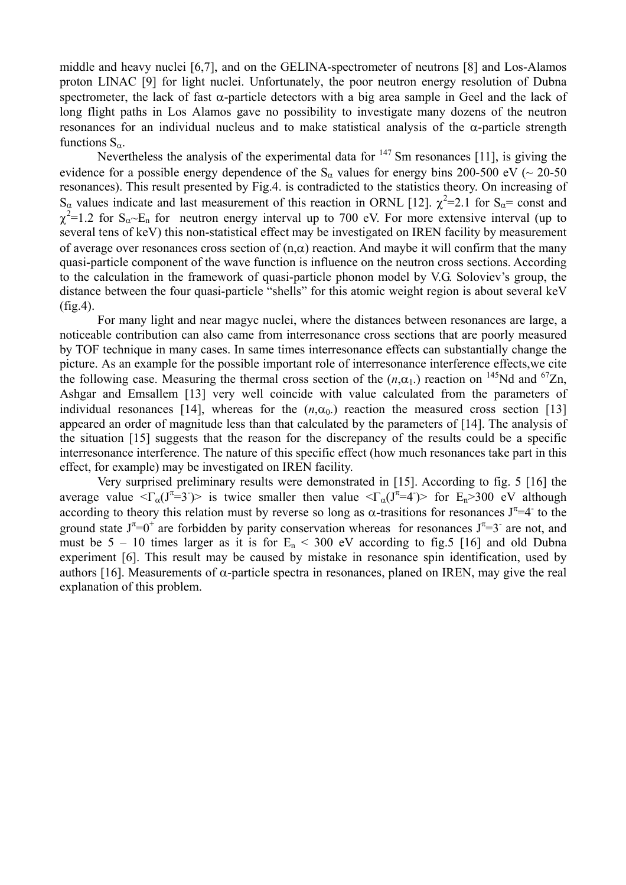middle and heavy nuclei [6,7], and on the GELINA-spectrometer of neutrons [8] and Los-Alamos proton LINAC [9] for light nuclei. Unfortunately, the poor neutron energy resolution of Dubna spectrometer, the lack of fast  $\alpha$ -particle detectors with a big area sample in Geel and the lack of long flight paths in Los Alamos gave no possibility to investigate many dozens of the neutron resonances for an individual nucleus and to make statistical analysis of the α-particle strength functions  $S_{\alpha}$ .

Nevertheless the analysis of the experimental data for  $147$  Sm resonances [11], is giving the evidence for a possible energy dependence of the S<sub>α</sub> values for energy bins 200-500 eV ( $\sim$  20-50 resonances). This result presented by Fig.4. is contradicted to the statistics theory. On increasing of S<sub>α</sub> values indicate and last measurement of this reaction in ORNL [12].  $\chi^2$ =2.1 for S<sub>α</sub>= const and  $\chi^2$ =1.2 for S<sub>α</sub>~E<sub>n</sub> for neutron energy interval up to 700 eV. For more extensive interval (up to several tens of keV) this non-statistical effect may be investigated on IREN facility by measurement of average over resonances cross section of  $(n, \alpha)$  reaction. And maybe it will confirm that the many quasi-particle component of the wave function is influence on the neutron cross sections. According to the calculation in the framework of quasi-particle phonon model by V.G. Soloviev's group, the distance between the four quasi-particle "shells" for this atomic weight region is about several keV (fig.4).

For many light and near magyc nuclei, where the distances between resonances are large, a noticeable contribution can also came from interresonance cross sections that are poorly measured by TOF technique in many cases. In same times interresonance effects can substantially change the picture. As an example for the possible important role of interresonance interference effects,we cite the following case. Measuring the thermal cross section of the  $(n, \alpha_1)$  reaction on <sup>145</sup>Nd and <sup>67</sup>Zn, Ashgar and Emsallem [13] very well coincide with value calculated from the parameters of individual resonances [14], whereas for the  $(n, \alpha_0)$  reaction the measured cross section [13] appeared an order of magnitude less than that calculated by the parameters of [14]. The analysis of the situation [15] suggests that the reason for the discrepancy of the results could be a specific interresonance interference. The nature of this specific effect (how much resonances take part in this effect, for example) may be investigated on IREN facility.

Very surprised preliminary results were demonstrated in [15]. According to fig. 5 [16] the average value  $\langle \Gamma_{\alpha}(J^{\pi}=3\vec{a}) \rangle$  is twice smaller then value  $\langle \Gamma_{\alpha}(J^{\pi}=4\vec{a}) \rangle$  for E<sub>n</sub>>300 eV although according to theory this relation must by reverse so long as  $\alpha$ -trasitions for resonances  $J^{\pi}=4^-$  to the ground state  $J^{\pi}=0^+$  are forbidden by parity conservation whereas for resonances  $J^{\pi}=3^-$  are not, and must be  $5 - 10$  times larger as it is for  $E_n < 300$  eV according to fig.5 [16] and old Dubna experiment [6]. This result may be caused by mistake in resonance spin identification, used by authors [16]. Measurements of α-particle spectra in resonances, planed on IREN, may give the real explanation of this problem.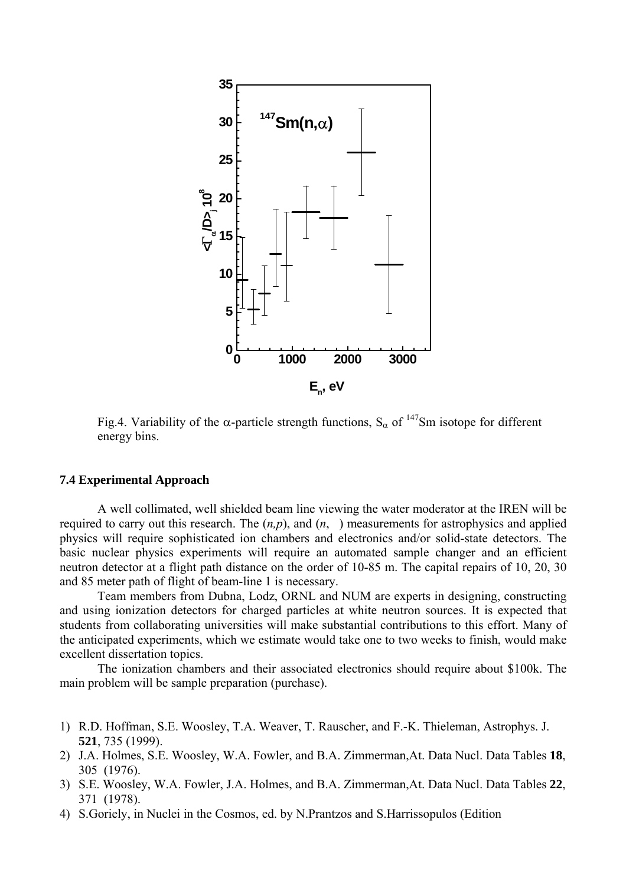

Fig.4. Variability of the  $\alpha$ -particle strength functions,  $S_{\alpha}$  of <sup>147</sup>Sm isotope for different energy bins.

### **7.4 Experimental Approach**

A well collimated, well shielded beam line viewing the water moderator at the IREN will be required to carry out this research. The  $(n, p)$ , and  $(n, \cdot)$  measurements for astrophysics and applied physics will require sophisticated ion chambers and electronics and/or solid-state detectors. The basic nuclear physics experiments will require an automated sample changer and an efficient neutron detector at a flight path distance on the order of 10-85 m. The capital repairs of 10, 20, 30 and 85 meter path of flight of beam-line 1 is necessary.

Team members from Dubna, Lodz, ORNL and NUM are experts in designing, constructing and using ionization detectors for charged particles at white neutron sources. It is expected that students from collaborating universities will make substantial contributions to this effort. Many of the anticipated experiments, which we estimate would take one to two weeks to finish, would make excellent dissertation topics.

The ionization chambers and their associated electronics should require about \$100k. The main problem will be sample preparation (purchase).

- 1) R.D. Hoffman, S.E. Woosley, T.A. Weaver, T. Rauscher, and F.-K. Thieleman, Astrophys. J. **521**, 735 (1999).
- 2) J.A. Holmes, S.E. Woosley, W.A. Fowler, and B.A. Zimmerman,At. Data Nucl. Data Tables **18**, 305 (1976).
- 3) S.E. Woosley, W.A. Fowler, J.A. Holmes, and B.A. Zimmerman,At. Data Nucl. Data Tables **22**, 371 (1978).
- 4) S.Goriely, in Nuclei in the Cosmos, ed. by N.Prantzos and S.Harrissopulos (Edition